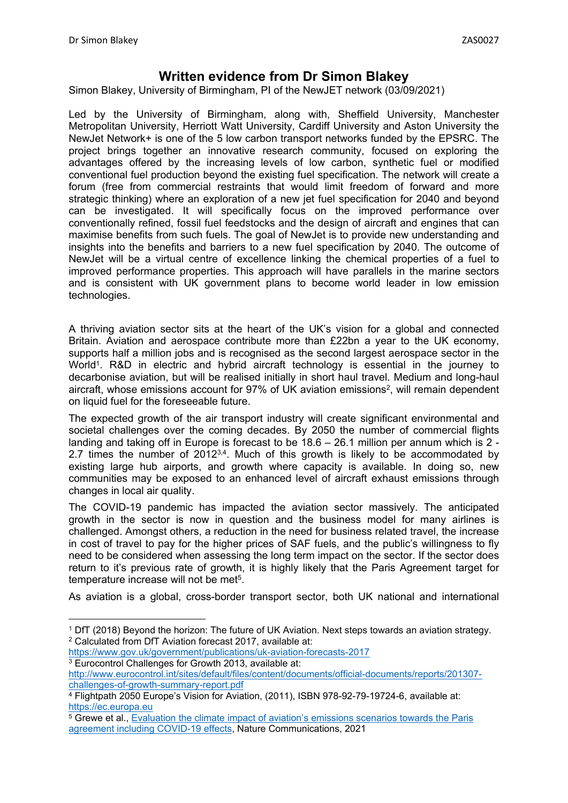# **Written evidence from Dr Simon Blakey**

Simon Blakey, University of Birmingham, PI of the NewJET network (03/09/2021)

Led by the University of Birmingham, along with, Sheffield University, Manchester Metropolitan University, Herriott Watt University, Cardiff University and Aston University the NewJet Network+ is one of the 5 low carbon transport networks funded by the EPSRC. The project brings together an innovative research community, focused on exploring the advantages offered by the increasing levels of low carbon, synthetic fuel or modified conventional fuel production beyond the existing fuel specification. The network will create a forum (free from commercial restraints that would limit freedom of forward and more strategic thinking) where an exploration of a new jet fuel specification for 2040 and beyond can be investigated. It will specifically focus on the improved performance over conventionally refined, fossil fuel feedstocks and the design of aircraft and engines that can maximise benefits from such fuels. The goal of NewJet is to provide new understanding and insights into the benefits and barriers to a new fuel specification by 2040. The outcome of NewJet will be a virtual centre of excellence linking the chemical properties of a fuel to improved performance properties. This approach will have parallels in the marine sectors and is consistent with UK government plans to become world leader in low emission technologies.

A thriving aviation sector sits at the heart of the UK's vision for a global and connected Britain. Aviation and aerospace contribute more than £22bn a year to the UK economy, supports half a million jobs and is recognised as the second largest aerospace sector in the World<sup>1</sup>. R&D in electric and hybrid aircraft technology is essential in the journey to decarbonise aviation, but will be realised initially in short haul travel. Medium and long-haul aircraft, whose emissions account for 97% of UK aviation emissions<sup>2</sup>, will remain dependent on liquid fuel for the foreseeable future.

The expected growth of the air transport industry will create significant environmental and societal challenges over the coming decades. By 2050 the number of commercial flights landing and taking off in Europe is forecast to be 18.6 – 26.1 million per annum which is 2 - 2.7 times the number of  $2012^{3,4}$ . Much of this growth is likely to be accommodated by existing large hub airports, and growth where capacity is available. In doing so, new communities may be exposed to an enhanced level of aircraft exhaust emissions through changes in local air quality.

The COVID-19 pandemic has impacted the aviation sector massively. The anticipated growth in the sector is now in question and the business model for many airlines is challenged. Amongst others, a reduction in the need for business related travel, the increase in cost of travel to pay for the higher prices of SAF fuels, and the public's willingness to fly need to be considered when assessing the long term impact on the sector. If the sector does return to it's previous rate of growth, it is highly likely that the Paris Agreement target for temperature increase will not be met<sup>5</sup>.

As aviation is a global, cross-border transport sector, both UK national and international

<https://www.gov.uk/government/publications/uk-aviation-forecasts-2017> <sup>3</sup> Eurocontrol Challenges for Growth 2013, available at:

<sup>1</sup> DfT (2018) Beyond the horizon: The future of UK Aviation. Next steps towards an aviation strategy. <sup>2</sup> Calculated from DfT Aviation forecast 2017, available at:

[http://www.eurocontrol.int/sites/default/files/content/documents/official-documents/reports/201307](http://www.eurocontrol.int/sites/default/files/content/documents/official-documents/reports/201307-challenges-of-growth-summary-report.pdf) [challenges-of-growth-summary-report.pdf](http://www.eurocontrol.int/sites/default/files/content/documents/official-documents/reports/201307-challenges-of-growth-summary-report.pdf)

<sup>4</sup> Flightpath 2050 Europe's Vision for Aviation, (2011), ISBN 978-92-79-19724-6, available at: [https://ec.europa.eu](https://ec.europa.eu/)

<sup>&</sup>lt;sup>5</sup> Grewe et al., [Evaluation](https://doi.org/10.1038/s41467-021-24091-y) [the](https://doi.org/10.1038/s41467-021-24091-y) [climate](https://doi.org/10.1038/s41467-021-24091-y) [impact](https://doi.org/10.1038/s41467-021-24091-y) [of](https://doi.org/10.1038/s41467-021-24091-y) [aviation's](https://doi.org/10.1038/s41467-021-24091-y) [emissions](https://doi.org/10.1038/s41467-021-24091-y) [scenarios](https://doi.org/10.1038/s41467-021-24091-y) [towards](https://doi.org/10.1038/s41467-021-24091-y) the [Paris](https://doi.org/10.1038/s41467-021-24091-y) [agreement](https://doi.org/10.1038/s41467-021-24091-y) [including](https://doi.org/10.1038/s41467-021-24091-y) [COVID-19](https://doi.org/10.1038/s41467-021-24091-y) [effects](https://doi.org/10.1038/s41467-021-24091-y), Nature Communications, 2021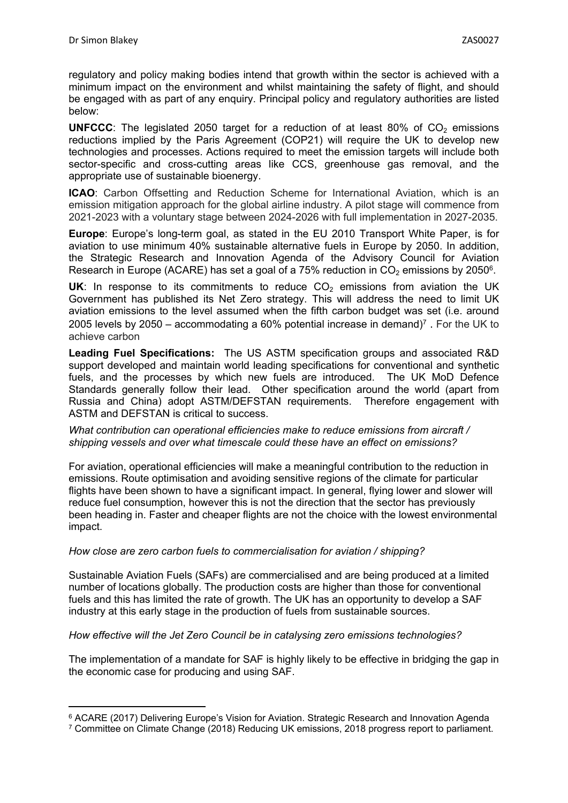regulatory and policy making bodies intend that growth within the sector is achieved with a minimum impact on the environment and whilst maintaining the safety of flight, and should be engaged with as part of any enquiry. Principal policy and regulatory authorities are listed below:

**UNFCCC:** The legislated 2050 target for a reduction of at least 80% of  $CO<sub>2</sub>$  emissions reductions implied by the Paris Agreement (COP21) will require the UK to develop new technologies and processes. Actions required to meet the emission targets will include both sector-specific and cross-cutting areas like CCS, greenhouse gas removal, and the appropriate use of sustainable bioenergy.

**ICAO:** Carbon Offsetting and Reduction Scheme for International Aviation, which is an emission mitigation approach for the global airline industry. A pilot stage will commence from 2021-2023 with a voluntary stage between 2024-2026 with full implementation in 2027-2035.

**Europe**: Europe's long-term goal, as stated in the EU 2010 Transport White Paper, is for aviation to use minimum 40% sustainable alternative fuels in Europe by 2050. In addition, the Strategic Research and Innovation Agenda of the Advisory Council for Aviation Research in Europe (ACARE) has set a goal of a 75% reduction in  $CO<sub>2</sub>$  emissions by 2050 $^{\circ}$ .

UK: In response to its commitments to reduce  $CO<sub>2</sub>$  emissions from aviation the UK Government has published its Net Zero strategy. This will address the need to limit UK aviation emissions to the level assumed when the fifth carbon budget was set (i.e. around 2005 levels by 2050 – accommodating a 60% potential increase in demand)<sup>7</sup>. For the UK to achieve carbon

**Leading Fuel Specifications:** The US ASTM specification groups and associated R&D support developed and maintain world leading specifications for conventional and synthetic fuels, and the processes by which new fuels are introduced. The UK MoD Defence Standards generally follow their lead. Other specification around the world (apart from Russia and China) adopt ASTM/DEFSTAN requirements. Therefore engagement with ASTM and DEFSTAN is critical to success.

*What contribution can operational efficiencies make to reduce emissions from aircraft / shipping vessels and over what timescale could these have an effect on emissions?*

For aviation, operational efficiencies will make a meaningful contribution to the reduction in emissions. Route optimisation and avoiding sensitive regions of the climate for particular flights have been shown to have a significant impact. In general, flying lower and slower will reduce fuel consumption, however this is not the direction that the sector has previously been heading in. Faster and cheaper flights are not the choice with the lowest environmental impact.

# *How close are zero carbon fuels to commercialisation for aviation / shipping?*

Sustainable Aviation Fuels (SAFs) are commercialised and are being produced at a limited number of locations globally. The production costs are higher than those for conventional fuels and this has limited the rate of growth. The UK has an opportunity to develop a SAF industry at this early stage in the production of fuels from sustainable sources.

## *How effective will the Jet Zero Council be in catalysing zero emissions technologies?*

The implementation of a mandate for SAF is highly likely to be effective in bridging the gap in the economic case for producing and using SAF.

<sup>6</sup> ACARE (2017) Delivering Europe's Vision for Aviation. Strategic Research and Innovation Agenda

<sup>7</sup> Committee on Climate Change (2018) Reducing UK emissions, 2018 progress report to parliament.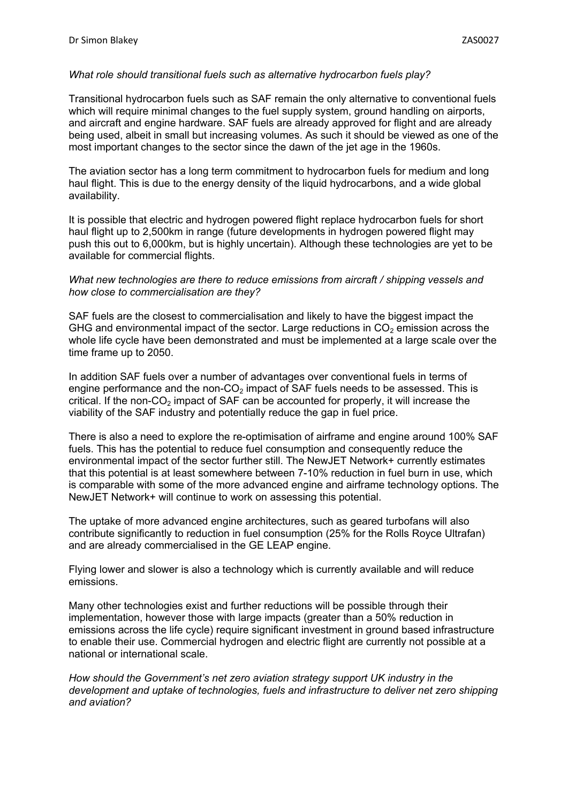#### *What role should transitional fuels such as alternative hydrocarbon fuels play?*

Transitional hydrocarbon fuels such as SAF remain the only alternative to conventional fuels which will require minimal changes to the fuel supply system, ground handling on airports, and aircraft and engine hardware. SAF fuels are already approved for flight and are already being used, albeit in small but increasing volumes. As such it should be viewed as one of the most important changes to the sector since the dawn of the jet age in the 1960s.

The aviation sector has a long term commitment to hydrocarbon fuels for medium and long haul flight. This is due to the energy density of the liquid hydrocarbons, and a wide global availability.

It is possible that electric and hydrogen powered flight replace hydrocarbon fuels for short haul flight up to 2,500km in range (future developments in hydrogen powered flight may push this out to 6,000km, but is highly uncertain). Although these technologies are yet to be available for commercial flights.

### *What new technologies are there to reduce emissions from aircraft / shipping vessels and how close to commercialisation are they?*

SAF fuels are the closest to commercialisation and likely to have the biggest impact the GHG and environmental impact of the sector. Large reductions in  $CO<sub>2</sub>$  emission across the whole life cycle have been demonstrated and must be implemented at a large scale over the time frame up to 2050.

In addition SAF fuels over a number of advantages over conventional fuels in terms of engine performance and the non- $CO<sub>2</sub>$  impact of SAF fuels needs to be assessed. This is critical. If the non-CO<sub>2</sub> impact of SAF can be accounted for properly, it will increase the viability of the SAF industry and potentially reduce the gap in fuel price.

There is also a need to explore the re-optimisation of airframe and engine around 100% SAF fuels. This has the potential to reduce fuel consumption and consequently reduce the environmental impact of the sector further still. The NewJET Network+ currently estimates that this potential is at least somewhere between 7-10% reduction in fuel burn in use, which is comparable with some of the more advanced engine and airframe technology options. The NewJET Network+ will continue to work on assessing this potential.

The uptake of more advanced engine architectures, such as geared turbofans will also contribute significantly to reduction in fuel consumption (25% for the Rolls Royce Ultrafan) and are already commercialised in the GE LEAP engine.

Flying lower and slower is also a technology which is currently available and will reduce emissions.

Many other technologies exist and further reductions will be possible through their implementation, however those with large impacts (greater than a 50% reduction in emissions across the life cycle) require significant investment in ground based infrastructure to enable their use. Commercial hydrogen and electric flight are currently not possible at a national or international scale.

*How should the Government's net zero aviation strategy support UK industry in the development and uptake of technologies, fuels and infrastructure to deliver net zero shipping and aviation?*